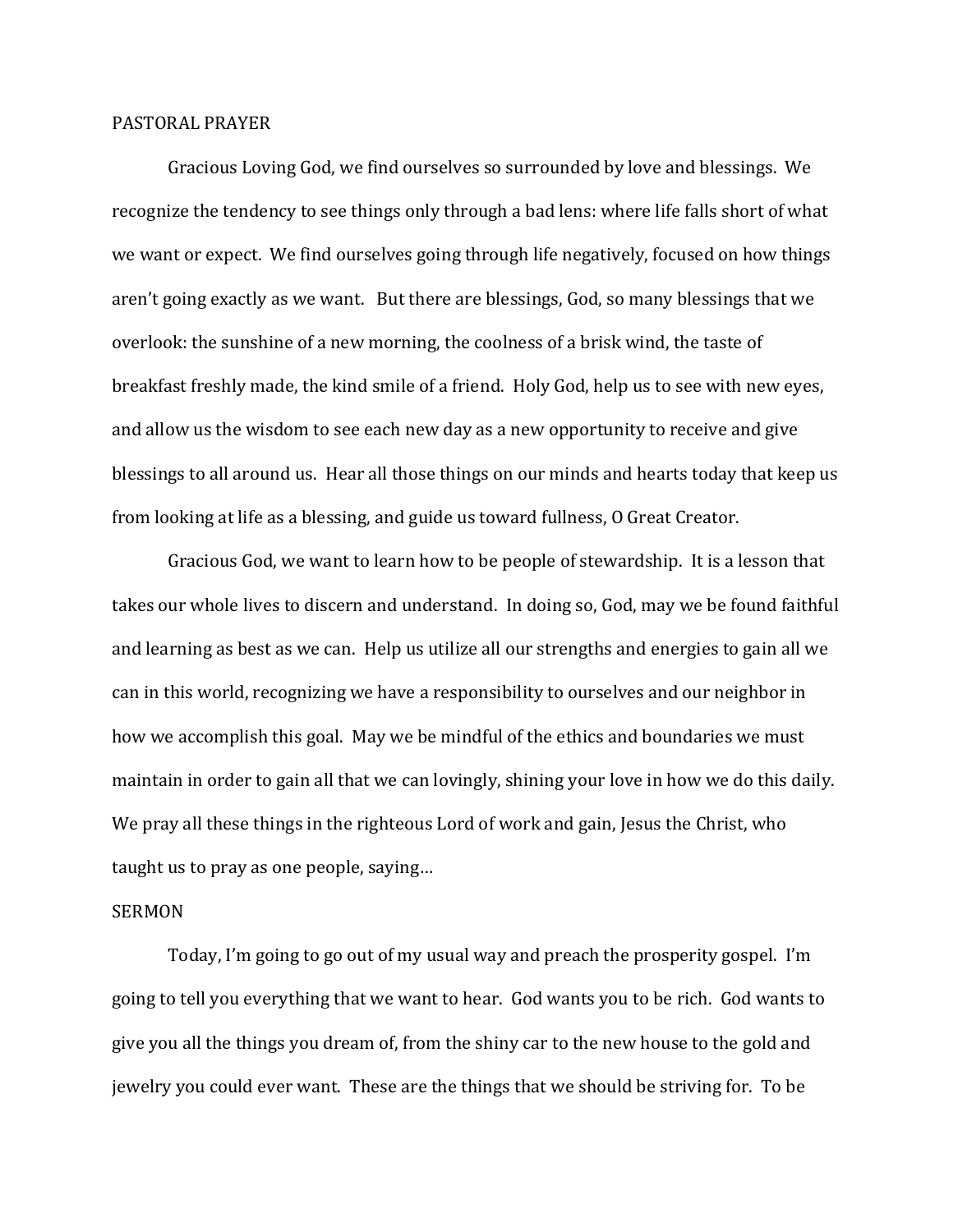## PASTORAL PRAYER

Gracious Loving God, we find ourselves so surrounded by love and blessings. We recognize the tendency to see things only through a bad lens: where life falls short of what we want or expect. We find ourselves going through life negatively, focused on how things aren't going exactly as we want. But there are blessings, God, so many blessings that we overlook: the sunshine of a new morning, the coolness of a brisk wind, the taste of breakfast freshly made, the kind smile of a friend. Holy God, help us to see with new eyes, and allow us the wisdom to see each new day as a new opportunity to receive and give blessings to all around us. Hear all those things on our minds and hearts today that keep us from looking at life as a blessing, and guide us toward fullness, O Great Creator.

Gracious God, we want to learn how to be people of stewardship. It is a lesson that takes our whole lives to discern and understand. In doing so, God, may we be found faithful and learning as best as we can. Help us utilize all our strengths and energies to gain all we can in this world, recognizing we have a responsibility to ourselves and our neighbor in how we accomplish this goal. May we be mindful of the ethics and boundaries we must maintain in order to gain all that we can lovingly, shining your love in how we do this daily. We pray all these things in the righteous Lord of work and gain, Jesus the Christ, who taught us to pray as one people, saying…

## SERMON

Today, I'm going to go out of my usual way and preach the prosperity gospel. I'm going to tell you everything that we want to hear. God wants you to be rich. God wants to give you all the things you dream of, from the shiny car to the new house to the gold and jewelry you could ever want. These are the things that we should be striving for. To be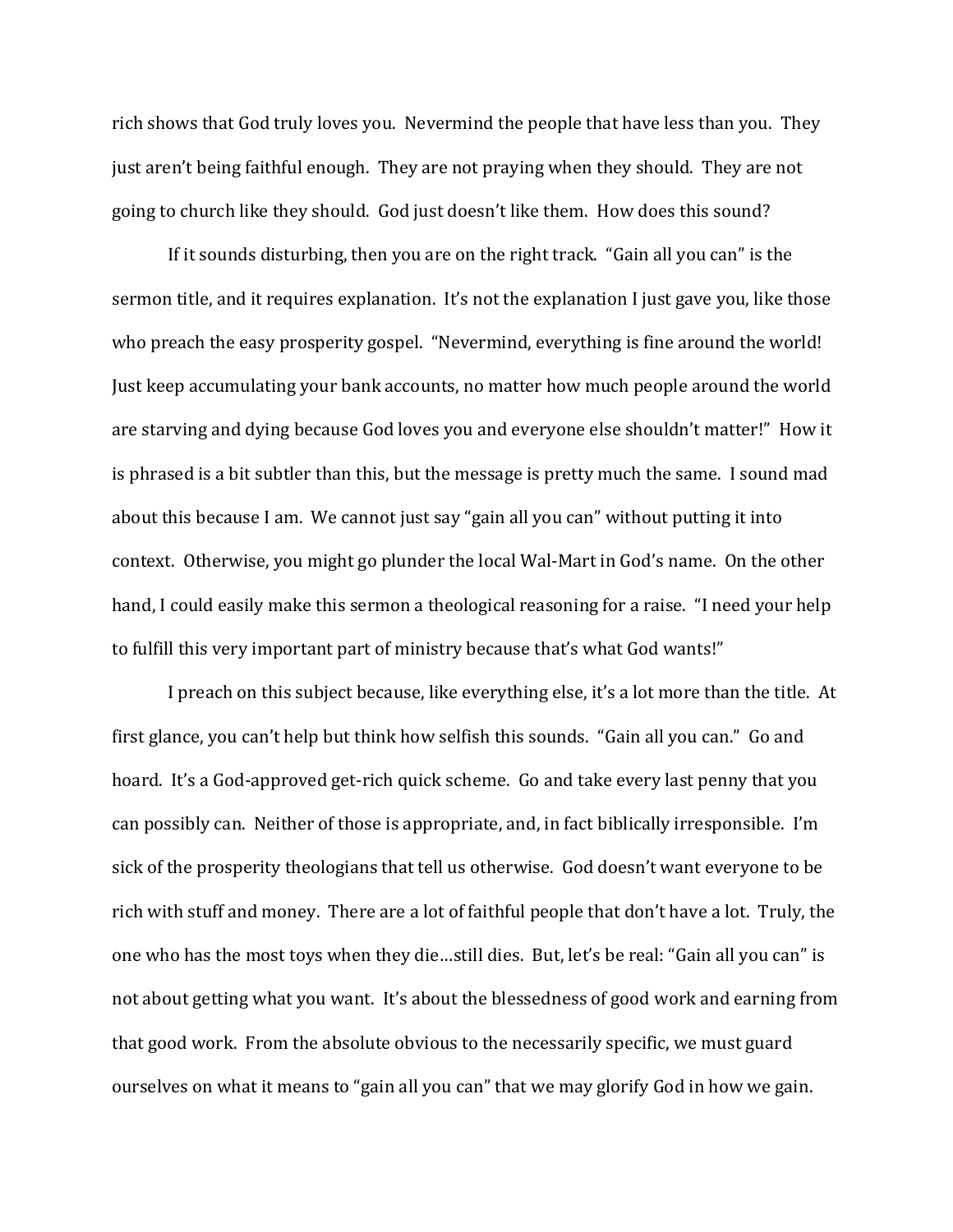rich shows that God truly loves you. Nevermind the people that have less than you. They just aren't being faithful enough. They are not praying when they should. They are not going to church like they should. God just doesn't like them. How does this sound?

If it sounds disturbing, then you are on the right track. "Gain all you can" is the sermon title, and it requires explanation. It's not the explanation I just gave you, like those who preach the easy prosperity gospel. "Nevermind, everything is fine around the world! Just keep accumulating your bank accounts, no matter how much people around the world are starving and dying because God loves you and everyone else shouldn't matter!" How it is phrased is a bit subtler than this, but the message is pretty much the same. I sound mad about this because I am. We cannot just say "gain all you can" without putting it into context. Otherwise, you might go plunder the local Wal-Mart in God's name. On the other hand, I could easily make this sermon a theological reasoning for a raise. "I need your help to fulfill this very important part of ministry because that's what God wants!"

I preach on this subject because, like everything else, it's a lot more than the title. At first glance, you can't help but think how selfish this sounds. "Gain all you can." Go and hoard. It's a God-approved get-rich quick scheme. Go and take every last penny that you can possibly can. Neither of those is appropriate, and, in fact biblically irresponsible. I'm sick of the prosperity theologians that tell us otherwise. God doesn't want everyone to be rich with stuff and money. There are a lot of faithful people that don't have a lot. Truly, the one who has the most toys when they die…still dies. But, let's be real: "Gain all you can" is not about getting what you want. It's about the blessedness of good work and earning from that good work. From the absolute obvious to the necessarily specific, we must guard ourselves on what it means to "gain all you can" that we may glorify God in how we gain.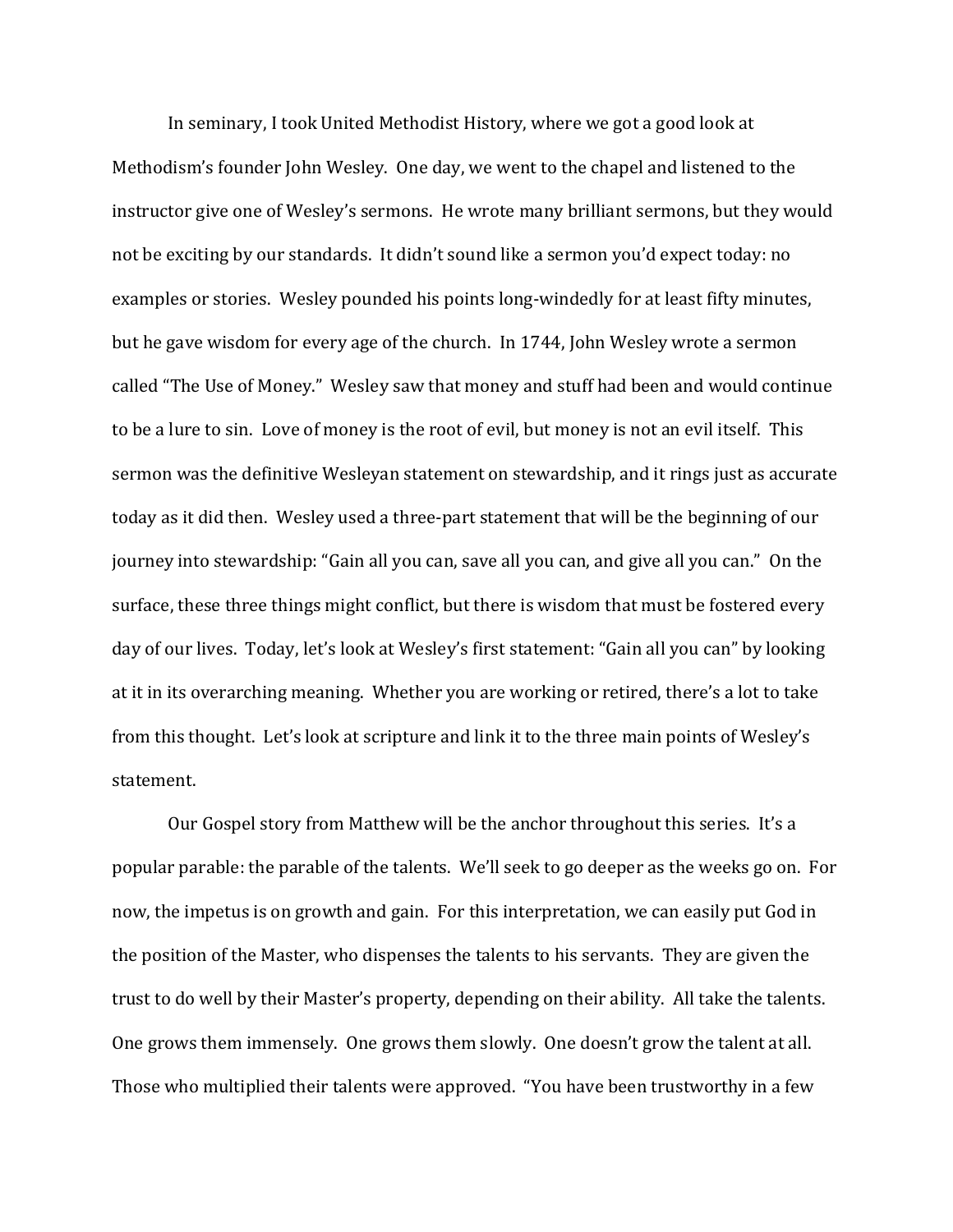In seminary, I took United Methodist History, where we got a good look at Methodism's founder John Wesley. One day, we went to the chapel and listened to the instructor give one of Wesley's sermons. He wrote many brilliant sermons, but they would not be exciting by our standards. It didn't sound like a sermon you'd expect today: no examples or stories. Wesley pounded his points long-windedly for at least fifty minutes, but he gave wisdom for every age of the church. In 1744, John Wesley wrote a sermon called "The Use of Money." Wesley saw that money and stuff had been and would continue to be a lure to sin. Love of money is the root of evil, but money is not an evil itself. This sermon was the definitive Wesleyan statement on stewardship, and it rings just as accurate today as it did then. Wesley used a three-part statement that will be the beginning of our journey into stewardship: "Gain all you can, save all you can, and give all you can." On the surface, these three things might conflict, but there is wisdom that must be fostered every day of our lives. Today, let's look at Wesley's first statement: "Gain all you can" by looking at it in its overarching meaning. Whether you are working or retired, there's a lot to take from this thought. Let's look at scripture and link it to the three main points of Wesley's statement.

Our Gospel story from Matthew will be the anchor throughout this series. It's a popular parable: the parable of the talents. We'll seek to go deeper as the weeks go on. For now, the impetus is on growth and gain. For this interpretation, we can easily put God in the position of the Master, who dispenses the talents to his servants. They are given the trust to do well by their Master's property, depending on their ability. All take the talents. One grows them immensely. One grows them slowly. One doesn't grow the talent at all. Those who multiplied their talents were approved. "You have been trustworthy in a few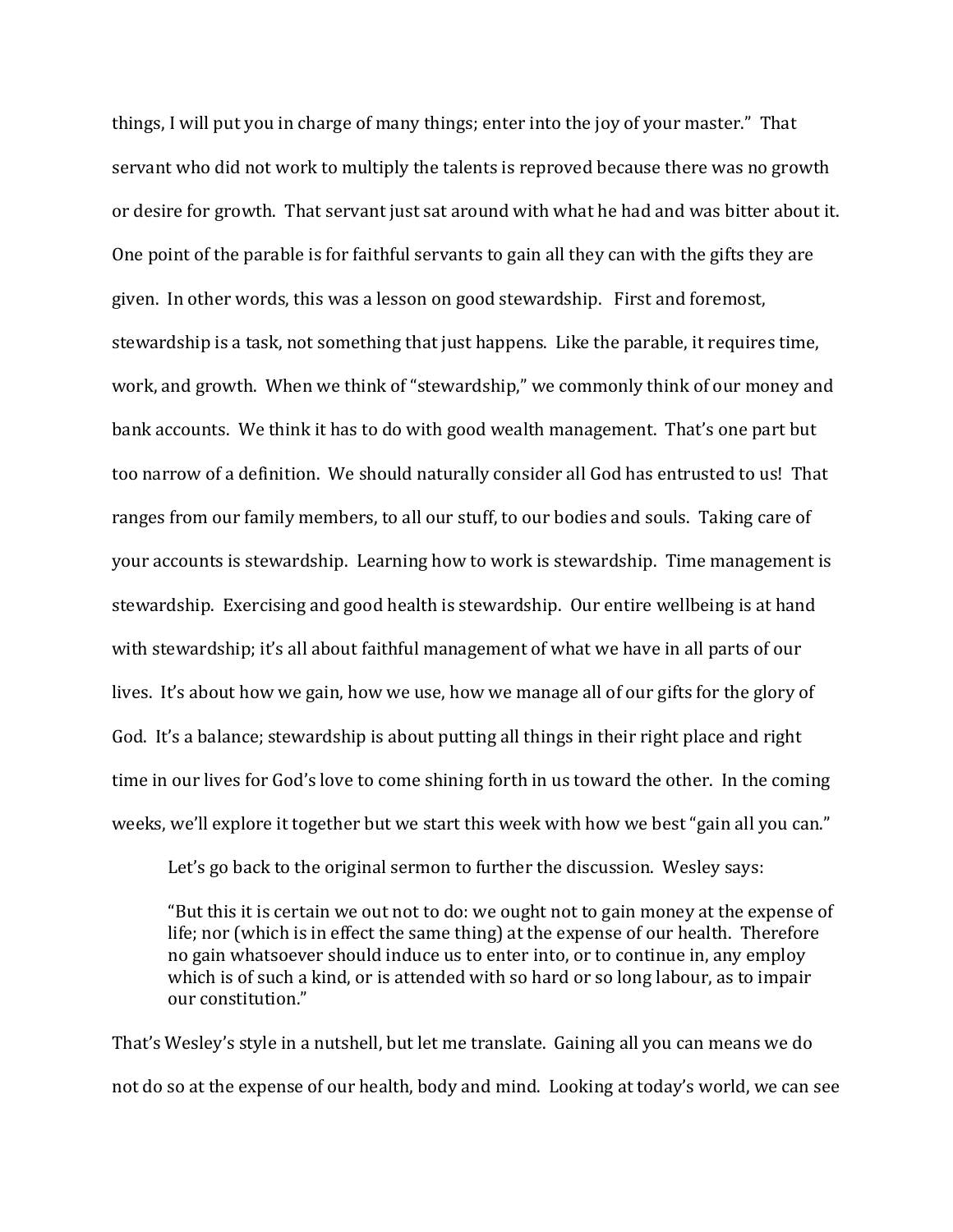things, I will put you in charge of many things; enter into the joy of your master." That servant who did not work to multiply the talents is reproved because there was no growth or desire for growth. That servant just sat around with what he had and was bitter about it. One point of the parable is for faithful servants to gain all they can with the gifts they are given. In other words, this was a lesson on good stewardship. First and foremost, stewardship is a task, not something that just happens. Like the parable, it requires time, work, and growth. When we think of "stewardship," we commonly think of our money and bank accounts. We think it has to do with good wealth management. That's one part but too narrow of a definition. We should naturally consider all God has entrusted to us! That ranges from our family members, to all our stuff, to our bodies and souls. Taking care of your accounts is stewardship. Learning how to work is stewardship. Time management is stewardship. Exercising and good health is stewardship. Our entire wellbeing is at hand with stewardship; it's all about faithful management of what we have in all parts of our lives. It's about how we gain, how we use, how we manage all of our gifts for the glory of God. It's a balance; stewardship is about putting all things in their right place and right time in our lives for God's love to come shining forth in us toward the other. In the coming weeks, we'll explore it together but we start this week with how we best "gain all you can."

Let's go back to the original sermon to further the discussion. Wesley says:

"But this it is certain we out not to do: we ought not to gain money at the expense of life; nor (which is in effect the same thing) at the expense of our health. Therefore no gain whatsoever should induce us to enter into, or to continue in, any employ which is of such a kind, or is attended with so hard or so long labour, as to impair our constitution."

That's Wesley's style in a nutshell, but let me translate. Gaining all you can means we do not do so at the expense of our health, body and mind. Looking at today's world, we can see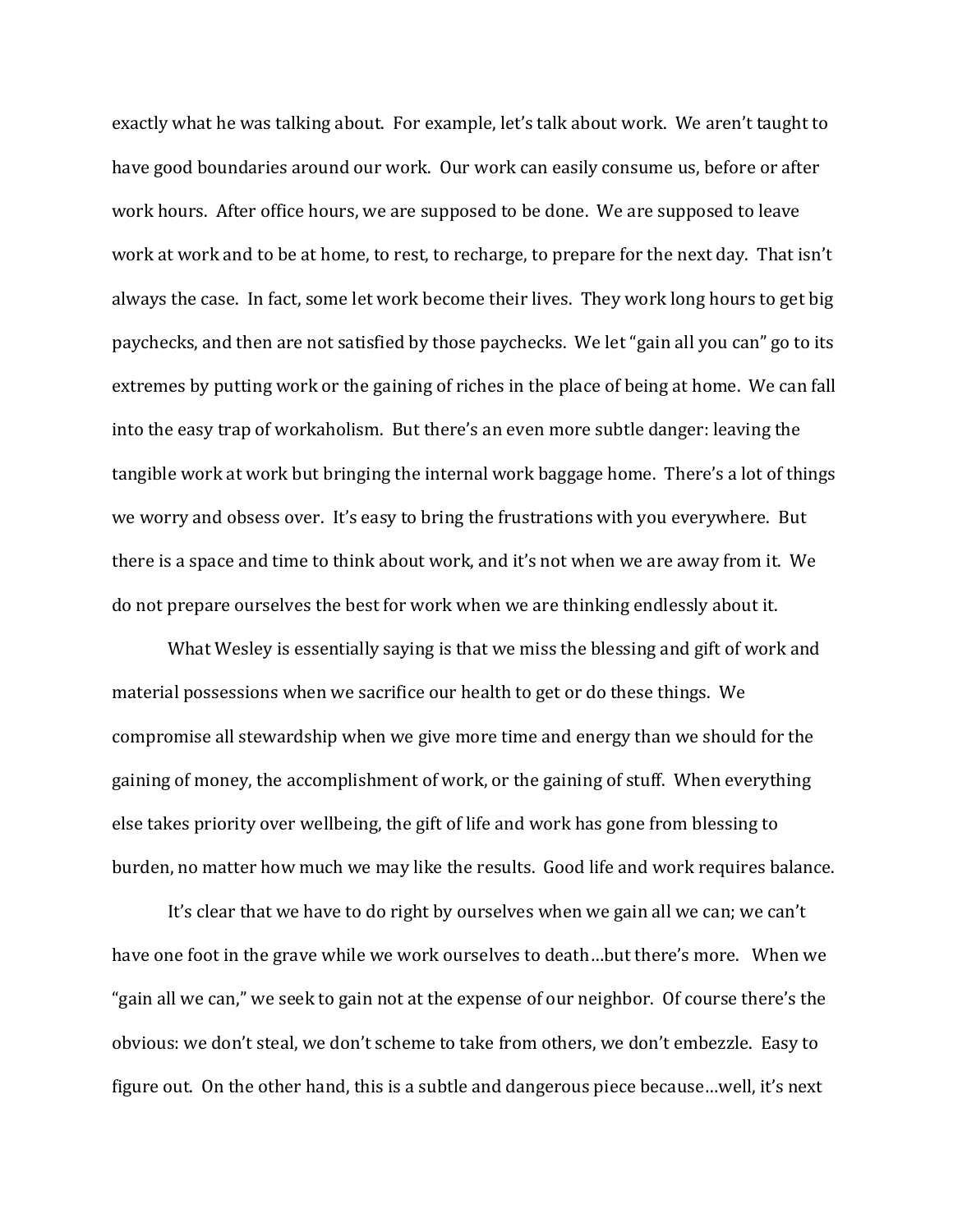exactly what he was talking about. For example, let's talk about work. We aren't taught to have good boundaries around our work. Our work can easily consume us, before or after work hours. After office hours, we are supposed to be done. We are supposed to leave work at work and to be at home, to rest, to recharge, to prepare for the next day. That isn't always the case. In fact, some let work become their lives. They work long hours to get big paychecks, and then are not satisfied by those paychecks. We let "gain all you can" go to its extremes by putting work or the gaining of riches in the place of being at home. We can fall into the easy trap of workaholism. But there's an even more subtle danger: leaving the tangible work at work but bringing the internal work baggage home. There's a lot of things we worry and obsess over. It's easy to bring the frustrations with you everywhere. But there is a space and time to think about work, and it's not when we are away from it. We do not prepare ourselves the best for work when we are thinking endlessly about it.

What Wesley is essentially saying is that we miss the blessing and gift of work and material possessions when we sacrifice our health to get or do these things. We compromise all stewardship when we give more time and energy than we should for the gaining of money, the accomplishment of work, or the gaining of stuff. When everything else takes priority over wellbeing, the gift of life and work has gone from blessing to burden, no matter how much we may like the results. Good life and work requires balance.

It's clear that we have to do right by ourselves when we gain all we can; we can't have one foot in the grave while we work ourselves to death…but there's more. When we "gain all we can," we seek to gain not at the expense of our neighbor. Of course there's the obvious: we don't steal, we don't scheme to take from others, we don't embezzle. Easy to figure out. On the other hand, this is a subtle and dangerous piece because…well, it's next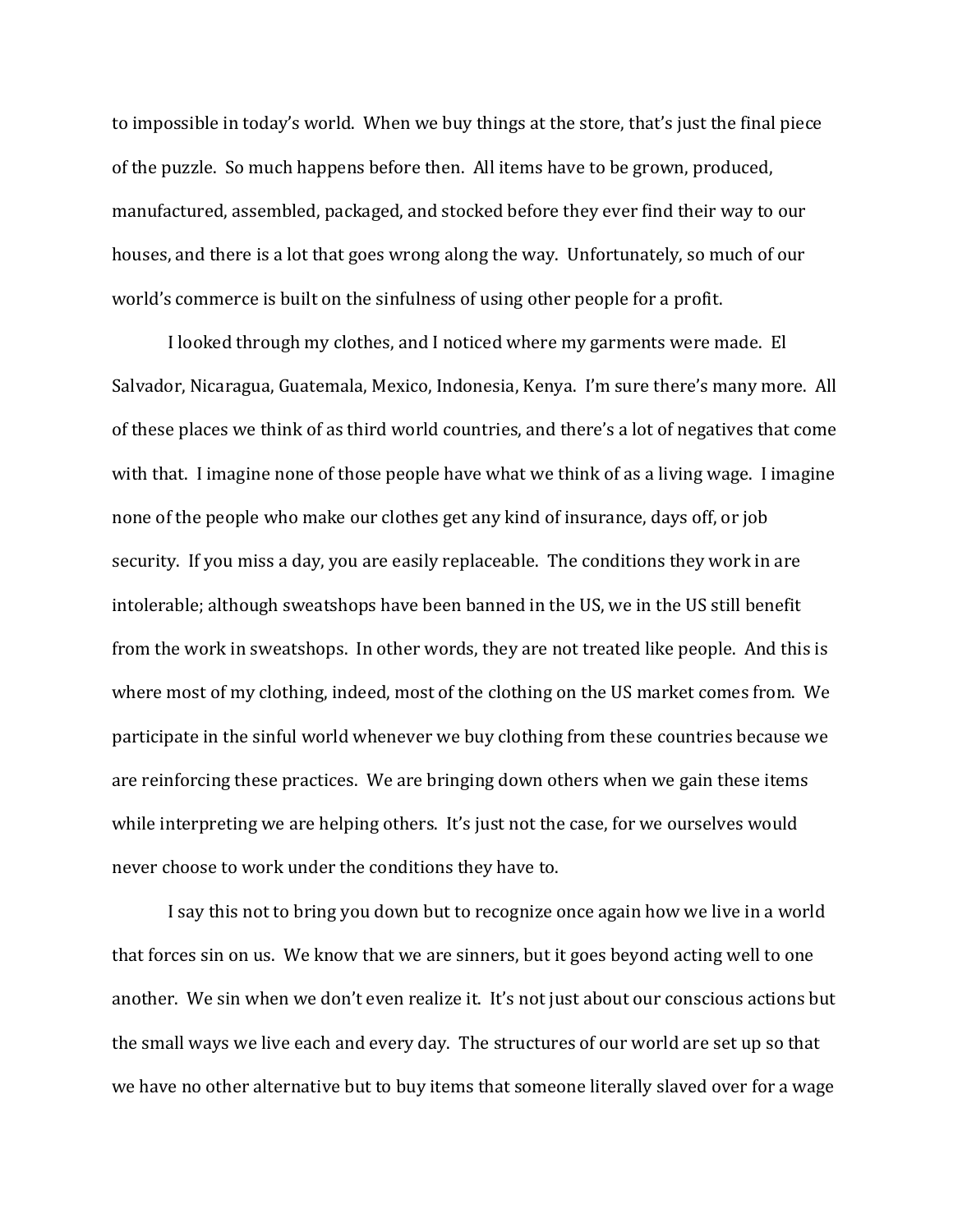to impossible in today's world. When we buy things at the store, that's just the final piece of the puzzle. So much happens before then. All items have to be grown, produced, manufactured, assembled, packaged, and stocked before they ever find their way to our houses, and there is a lot that goes wrong along the way. Unfortunately, so much of our world's commerce is built on the sinfulness of using other people for a profit.

I looked through my clothes, and I noticed where my garments were made. El Salvador, Nicaragua, Guatemala, Mexico, Indonesia, Kenya. I'm sure there's many more. All of these places we think of as third world countries, and there's a lot of negatives that come with that. I imagine none of those people have what we think of as a living wage. I imagine none of the people who make our clothes get any kind of insurance, days off, or job security. If you miss a day, you are easily replaceable. The conditions they work in are intolerable; although sweatshops have been banned in the US, we in the US still benefit from the work in sweatshops. In other words, they are not treated like people. And this is where most of my clothing, indeed, most of the clothing on the US market comes from. We participate in the sinful world whenever we buy clothing from these countries because we are reinforcing these practices. We are bringing down others when we gain these items while interpreting we are helping others. It's just not the case, for we ourselves would never choose to work under the conditions they have to.

I say this not to bring you down but to recognize once again how we live in a world that forces sin on us. We know that we are sinners, but it goes beyond acting well to one another. We sin when we don't even realize it. It's not just about our conscious actions but the small ways we live each and every day. The structures of our world are set up so that we have no other alternative but to buy items that someone literally slaved over for a wage